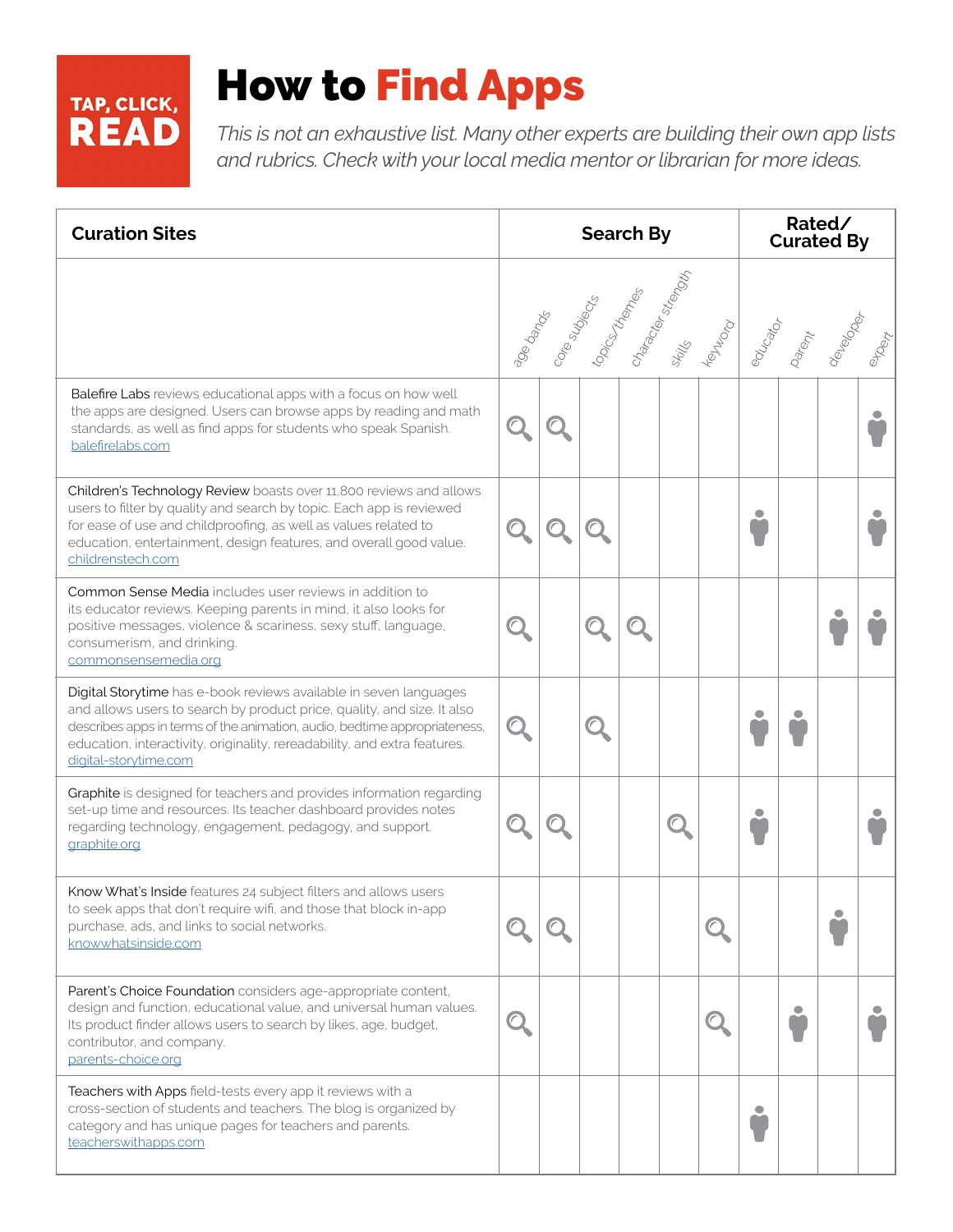# TAP, CLICK,

## How to Find Apps

*This is not an exhaustive list. Many other experts are building their own app lists and rubrics. Check with your local media mentor or librarian for more ideas.* 

| <b>Curation Sites</b>                                                                                                                                                                                                                                                                                                           | <b>Search By</b> |  |  |  |  | Rated/<br><b>Curated By</b> |           |  |         |  |
|---------------------------------------------------------------------------------------------------------------------------------------------------------------------------------------------------------------------------------------------------------------------------------------------------------------------------------|------------------|--|--|--|--|-----------------------------|-----------|--|---------|--|
|                                                                                                                                                                                                                                                                                                                                 |                  |  |  |  |  | YOU WON                     |           |  | edroids |  |
| Balefire Labs reviews educational apps with a focus on how well<br>the apps are designed. Users can browse apps by reading and math<br>standards, as well as find apps for students who speak Spanish.<br>balefirelabs.com                                                                                                      |                  |  |  |  |  |                             |           |  |         |  |
| Children's Technology Review boasts over 11,800 reviews and allows<br>users to filter by quality and search by topic. Each app is reviewed<br>for ease of use and childproofing, as well as values related to<br>education, entertainment, design features, and overall good value.<br>childrenstech.com                        |                  |  |  |  |  |                             |           |  |         |  |
| <b>Common Sense Media</b> includes user reviews in addition to<br>its educator reviews. Keeping parents in mind, it also looks for<br>positive messages, violence & scariness, sexy stuff, language,<br>consumerism, and drinking.<br>commonsensemedia.org                                                                      |                  |  |  |  |  |                             |           |  |         |  |
| Digital Storytime has e-book reviews available in seven languages<br>and allows users to search by product price, quality, and size. It also<br>describes apps in terms of the animation, audio, bedtime appropriateness,<br>education, interactivity, originality, rereadability, and extra features.<br>digital-storytime.com |                  |  |  |  |  |                             |           |  |         |  |
| Graphite is designed for teachers and provides information regarding<br>set-up time and resources. Its teacher dashboard provides notes<br>regarding technology, engagement, pedagogy, and support.<br>graphite.org                                                                                                             |                  |  |  |  |  |                             |           |  |         |  |
| Know What's Inside features 24 subject filters and allows users<br>to seek apps that don't require wifi, and those that block in-app<br>purchase, ads, and links to social networks.<br>knowwhatsinside.com                                                                                                                     |                  |  |  |  |  | $\subset$                   |           |  |         |  |
| Parent's Choice Foundation considers age-appropriate content,<br>design and function, educational value, and universal human values.<br>Its product finder allows users to search by likes, age, budget,<br>contributor, and company.<br>parents-choice.org                                                                     |                  |  |  |  |  | $\subset$                   |           |  |         |  |
| Teachers with Apps field-tests every app it reviews with a<br>cross-section of students and teachers. The blog is organized by<br>category and has unique pages for teachers and parents.<br>teacherswithapps.com                                                                                                               |                  |  |  |  |  |                             | $\bullet$ |  |         |  |